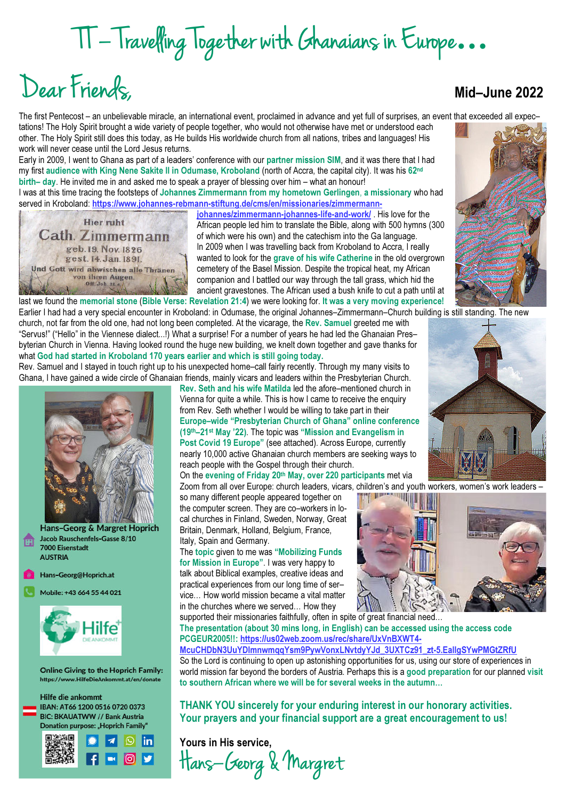# TT – Travelling Together with Ghanaians in Europe**…**

# Dear Friends, Mid–June 2022

#### The first Pentecost – an unbelievable miracle, an international event, proclaimed in advance and yet full of surprises, an event that exceeded all expec–

tations! The Holy Spirit brought a wide variety of people together, who would not otherwise have met or understood each other. The Holy Spirit still does this today, as He builds His worldwide church from all nations, tribes and languages! His work will never cease until the Lord Jesus returns.

Early in 2009, I went to Ghana as part of a leaders' conference with our partner mission SIM, and it was there that I had my first audience with King Nene Sakite II in Odumase, Kroboland (north of Accra, the capital city). It was his 62<sup>nd</sup> birth– day. He invited me in and asked me to speak a prayer of blessing over him – what an honour!

I was at this time tracing the footsteps of Johannes Zimmermann from my hometown Gerlingen, a missionary who had served in Kroboland: https://www.johannes-rebmann-stiftung.de/cms/en/missionaries/zimmermann-



johannes/zimmermann-johannes-life-and-work/ . His love for the African people led him to translate the Bible, along with 500 hymns (300 of which were his own) and the catechism into the Ga language. In 2009 when I was travelling back from Kroboland to Accra, I really wanted to look for the grave of his wife Catherine in the old overgrown cemetery of the Basel Mission. Despite the tropical heat, my African companion and I battled our way through the tall grass, which hid the ancient gravestones. The African used a bush knife to cut a path until at last we found the memorial stone (Bible Verse: Revelation 21:4) we were looking for. It was a very moving experience!

Earlier I had had a very special encounter in Kroboland: in Odumase, the original Johannes–Zimmermann–Church building is still standing. The new church, not far from the old one, had not long been completed. At the vicarage, the Rev. Samuel greeted me with "Servus!" ("Hello" in the Viennese dialect...!) What a surprise! For a number of years he had led the Ghanaian Pres– byterian Church in Vienna. Having looked round the huge new building, we knelt down together and gave thanks for what God had started in Kroboland 170 years earlier and which is still going today.

Rev. Samuel and I stayed in touch right up to his unexpected home–call fairly recently. Through my many visits to Ghana, I have gained a wide circle of Ghanaian friends, mainly vicars and leaders within the Presbyterian Church.



Hans-Georg & Margret Hoprich Jacob Rauschenfels-Gasse 8/10 7000 Eisenstadt **AUSTRIA** 

Hans-Georg@Hoprich.at

Mobile: +43 664 55 44 021



**Online Giving to the Hoprich Family:** https://www.HilfeDieAnkommt.at/en/donate

Hilfe die ankommt IBAN: AT66 1200 0516 0720 0373 **BIC: BKAUATWW // Bank Austria** Donation purpose: "Hoprich Family"



Rev. Seth and his wife Matilda led the afore–mentioned church in Vienna for quite a while. This is how I came to receive the enquiry from Rev. Seth whether I would be willing to take part in their Europe–wide "Presbyterian Church of Ghana" online conference (19th–21st May '22). The topic was "Mission and Evangelism in Post Covid 19 Europe" (see attached). Across Europe, currently nearly 10,000 active Ghanaian church members are seeking ways to reach people with the Gospel through their church.

On the evening of Friday 20th May, over 220 participants met via Zoom from all over Europe: church leaders, vicars, children's and youth workers, women's work leaders –<br>so many different neople appeared together on

so many different people appeared together on the computer screen. They are co–workers in local churches in Finland, Sweden, Norway, Great Britain, Denmark, Holland, Belgium, France, Italy, Spain and Germany.

#### The topic given to me was "Mobilizing Funds for Mission in Europe". I was very happy to

talk about Biblical examples, creative ideas and practical experiences from our long time of ser– vice… How world mission became a vital matter in the churches where we served… How they



supported their missionaries faithfully, often in spite of great financial need... The presentation (about 30 mins long, in English) can be accessed using the access code PCGEUR2005!!: https://us02web.zoom.us/rec/share/UxVnBXWT4-

McuCHDbN3UuYDImnwmqqYsm9PywVonxLNvtdyYJd\_3UXTCz91\_zt-5.EalIgSYwPMGtZRfU So the Lord is continuing to open up astonishing opportunities for us, using our store of experiences in world mission far beyond the borders of Austria. Perhaps this is a good preparation for our planned visit to southern African where we will be for several weeks in the autumn…

THANK YOU sincerely for your enduring interest in our honorary activities. Your prayers and your financial support are a great encouragement to us!

Yours in His service, Hans–Georg & Margret



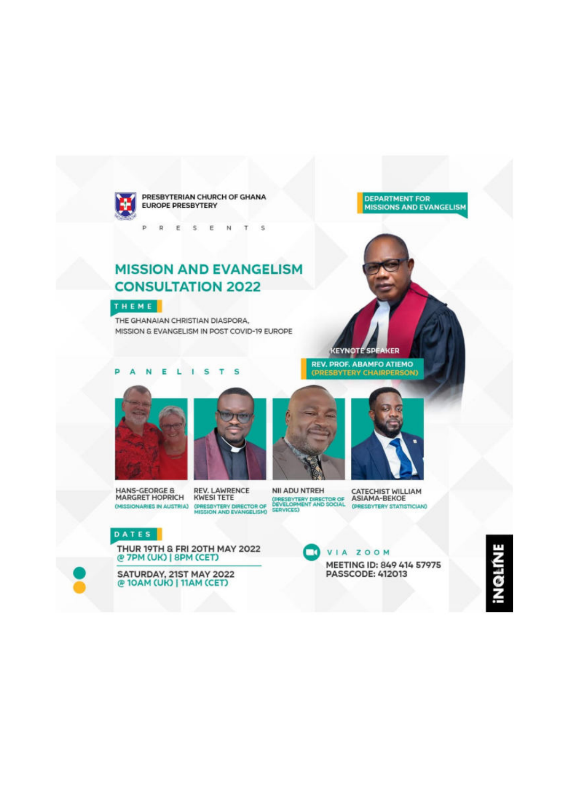

PRESBYTERIAN CHURCH OF GHANA **EUROPE PRESBYTERY** 

 $\mathbf{D}$ R E 5 E  $N$  $T$  $\mathcal{S}$ 

# **MISSION AND EVANGELISM CONSULTATION 2022**



THE GHANAIAN CHRISTIAN DIASPORA. MISSION & EVANGELISM IN POST COVID-19 EUROPE **DEPARTMENT FOR MISSIONS AND EVANGELISM** 

#### b ANEL  $1S$  $T$  $\sim$









**KEYNOTE SPEAKER REV. PROF. ABAMFO ATIEMO**<br>(PRESBYTERY CHAIRPERSON)

MII ADU NTREH CATECHIST WILLIAM<br>
(MESSIONARIES IN AUSTRIA) (PRESBYTERY DIRECTOR OF DEVELOPMENT AND SOCIAL CHRESBYTERY STATISTICIAN<br>
MISSION AND EVANGELISM) SERVICES)<br>
MISSION AND EVANGELISM) SERVICES)

(PRESBYTERY STATISTICIAN)

#### DATES

THUR 19TH & FRI 20TH MAY 2022<br>@ 7PM (UK) | 8PM (CET)

SATURDAY, 21ST MAY 2022<br>@ 10AM (UK) | 11AM (CET)

VIA ZOOM  $\blacksquare$ MEETING ID: 849 414 57975 **PASSCODE: 412013** 

NQLINE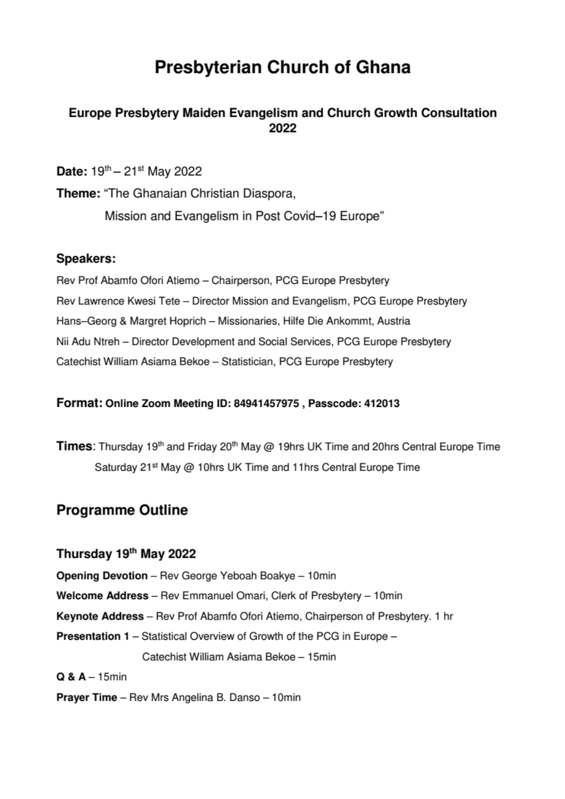# **Presbyterian Church of Ghana**

# Europe Presbytery Maiden Evangelism and Church Growth Consultation 2022

Date:  $19^{th} - 21^{st}$  May 2022

Theme: "The Ghanaian Christian Diaspora. Mission and Evangelism in Post Covid-19 Europe"

# Speakers:

Rev Prof Abamfo Ofori Atiemo - Chairperson, PCG Europe Presbytery Rev Lawrence Kwesi Tete – Director Mission and Evangelism, PCG Europe Presbytery Hans-Georg & Margret Hoprich - Missionaries, Hilfe Die Ankommt, Austria Nii Adu Ntreh - Director Development and Social Services, PCG Europe Presbytery Catechist William Asiama Bekoe - Statistician, PCG Europe Presbytery

# Format: Online Zoom Meeting ID: 84941457975, Passcode: 412013

Times: Thursday 19<sup>th</sup> and Friday 20<sup>th</sup> May @ 19hrs UK Time and 20hrs Central Europe Time Saturday 21<sup>st</sup> May @ 10hrs UK Time and 11hrs Central Europe Time

# **Programme Outline**

# Thursday 19th May 2022

**Opening Devotion** - Rev George Yeboah Boakye - 10min

Welcome Address - Rev Emmanuel Omari, Clerk of Presbytery - 10min

Keynote Address - Rev Prof Abamfo Ofori Atiemo, Chairperson of Presbytery. 1 hr

Presentation 1 - Statistical Overview of Growth of the PCG in Europe -

Catechist William Asiama Bekoe - 15min

# $Q & A - 15$ min

Prayer Time - Rev Mrs Angelina B. Danso - 10min